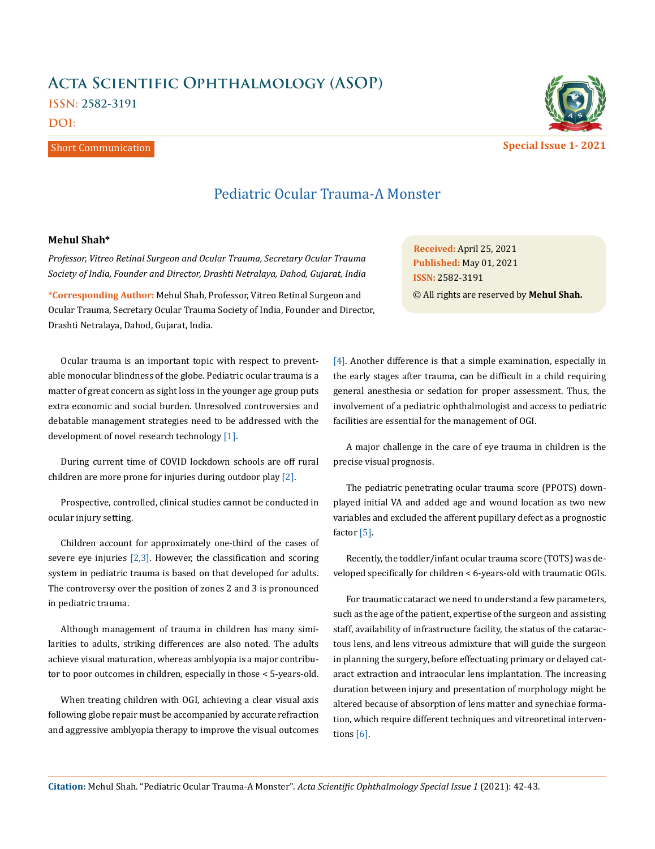# **Acta Scientific Ophthalmology (ASOP) ISSN: 2582-3191**

## **DOI:**

## Short Communication



Pediatric Ocular Trauma-A Monster

### **Mehul Shah\***

*Professor, Vitreo Retinal Surgeon and Ocular Trauma, Secretary Ocular Trauma Society of India, Founder and Director, Drashti Netralaya, Dahod, Gujarat, India* 

**\*Corresponding Author:** Mehul Shah, Professor, Vitreo Retinal Surgeon and Ocular Trauma, Secretary Ocular Trauma Society of India, Founder and Director, Drashti Netralaya, Dahod, Gujarat, India.

Ocular trauma is an important topic with respect to preventable monocular blindness of the globe. Pediatric ocular trauma is a matter of great concern as sight loss in the younger age group puts extra economic and social burden. Unresolved controversies and debatable management strategies need to be addressed with the development of novel research technology [1].

During current time of COVID lockdown schools are off rural children are more prone for injuries during outdoor play [2].

Prospective, controlled, clinical studies cannot be conducted in ocular injury setting.

Children account for approximately one-third of the cases of severe eye injuries  $[2,3]$ . However, the classification and scoring system in pediatric trauma is based on that developed for adults. The controversy over the position of zones 2 and 3 is pronounced in pediatric trauma.

Although management of trauma in children has many similarities to adults, striking differences are also noted. The adults achieve visual maturation, whereas amblyopia is a major contributor to poor outcomes in children, especially in those < 5-years-old.

When treating children with OGI, achieving a clear visual axis following globe repair must be accompanied by accurate refraction and aggressive amblyopia therapy to improve the visual outcomes

**Received:** April 25, 2021 **Published:** May 01, 2021 © All rights are reserved by **Mehul Shah. ISSN:** 2582-3191

[4]. Another difference is that a simple examination, especially in the early stages after trauma, can be difficult in a child requiring general anesthesia or sedation for proper assessment. Thus, the involvement of a pediatric ophthalmologist and access to pediatric facilities are essential for the management of OGI.

A major challenge in the care of eye trauma in children is the precise visual prognosis.

The pediatric penetrating ocular trauma score (PPOTS) downplayed initial VA and added age and wound location as two new variables and excluded the afferent pupillary defect as a prognostic factor [5].

Recently, the toddler/infant ocular trauma score (TOTS) was developed specifically for children < 6-years-old with traumatic OGIs.

For traumatic cataract we need to understand a few parameters, such as the age of the patient, expertise of the surgeon and assisting staff, availability of infrastructure facility, the status of the cataractous lens, and lens vitreous admixture that will guide the surgeon in planning the surgery, before effectuating primary or delayed cataract extraction and intraocular lens implantation. The increasing duration between injury and presentation of morphology might be altered because of absorption of lens matter and synechiae formation, which require different techniques and vitreoretinal interventions [6].

**Citation:** Mehul Shah*.* "Pediatric Ocular Trauma-A Monster". *Acta Scientific Ophthalmology Special Issue 1* (2021): 42-43.